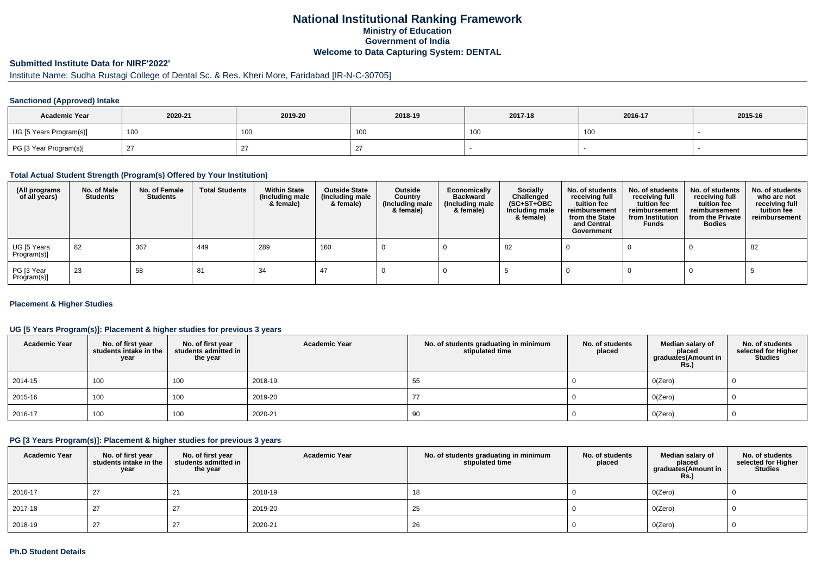### **National Institutional Ranking FrameworkMinistry of Education Government of IndiaWelcome to Data Capturing System: DENTAL**

## **Submitted Institute Data for NIRF'2022'**

# Institute Name: Sudha Rustagi College of Dental Sc. & Res. Kheri More, Faridabad [IR-N-C-30705]

#### **Sanctioned (Approved) Intake**

| <b>Academic Year</b>    | 2020-21 | 2019-20         | 2018-19  | 2017-18 | 2016-17 | 2015-16 |
|-------------------------|---------|-----------------|----------|---------|---------|---------|
| UG [5 Years Program(s)] | 100     | 10 <sub>C</sub> | , UU     | 100     | 100     |         |
| PG [3 Year Program(s)]  |         |                 | <u>_</u> |         |         |         |

#### **Total Actual Student Strength (Program(s) Offered by Your Institution)**

| (All programs<br>of all years) | No. of Male<br><b>Students</b> | No. of Female<br>Students | <b>Total Students</b> | <b>Within State</b><br>(Including male<br>& female) | <b>Outside State</b><br>(Including male<br>& female) | Outside<br>Country<br>(Including male<br>& female) | Economically<br>Backward<br>(Including male<br>& female) | <b>Socially</b><br>Challenged<br>$(SC+ST+OBC)$<br>Including male<br>& female) | No. of students<br>receiving full<br>tuition fee<br>reimbursement<br>from the State<br>and Central<br>Government | No. of students<br>receiving full<br>tuition fee<br>reimbursement<br>from Institution<br><b>Funds</b> | No. of students<br>receiving full<br>tuition fee<br>reimbursement<br>from the Private<br><b>Bodies</b> | No. of students<br>who are not<br>receiving full<br>tuition fee<br>reimbursement |
|--------------------------------|--------------------------------|---------------------------|-----------------------|-----------------------------------------------------|------------------------------------------------------|----------------------------------------------------|----------------------------------------------------------|-------------------------------------------------------------------------------|------------------------------------------------------------------------------------------------------------------|-------------------------------------------------------------------------------------------------------|--------------------------------------------------------------------------------------------------------|----------------------------------------------------------------------------------|
| UG [5 Years<br>Program(s)]     | 82                             | 367                       | 449                   | 289                                                 | 160                                                  |                                                    |                                                          | 82                                                                            |                                                                                                                  |                                                                                                       |                                                                                                        | 82                                                                               |
| PG [3 Year<br>Program(s)]      | 23                             | 58                        | 81                    | 34                                                  |                                                      |                                                    |                                                          |                                                                               |                                                                                                                  |                                                                                                       |                                                                                                        |                                                                                  |

#### **Placement & Higher Studies**

#### **UG [5 Years Program(s)]: Placement & higher studies for previous 3 years**

| <b>Academic Year</b> | No. of first year<br>students intake in the<br>year | No. of first year<br>students admitted in<br>the year | <b>Academic Year</b> | No. of students graduating in minimum<br>stipulated time | No. of students<br>placed | Median salary of<br>placed<br>graduates(Amount in<br><b>Rs.)</b> | No. of students<br>selected for Higher<br><b>Studies</b> |
|----------------------|-----------------------------------------------------|-------------------------------------------------------|----------------------|----------------------------------------------------------|---------------------------|------------------------------------------------------------------|----------------------------------------------------------|
| 2014-15              | 100                                                 | 100                                                   | 2018-19              | 55                                                       |                           | O(Zero)                                                          |                                                          |
| 2015-16              | 100                                                 | 100                                                   | 2019-20              | 77                                                       |                           | O(Zero)                                                          |                                                          |
| $ 2016-17$           | 100                                                 | 100                                                   | 2020-21              | 90                                                       |                           | O(Zero)                                                          |                                                          |

### **PG [3 Years Program(s)]: Placement & higher studies for previous 3 years**

| <b>Academic Year</b> | No. of first year students intake in the<br>year | No. of first year<br>students admitted in<br>the year | <b>Academic Year</b> | No. of students graduating in minimum<br>stipulated time | No. of students<br>placed | Median salary of<br>placed<br>graduates(Amount in<br><b>Rs.)</b> | No. of students<br>selected for Higher<br>Studies |
|----------------------|--------------------------------------------------|-------------------------------------------------------|----------------------|----------------------------------------------------------|---------------------------|------------------------------------------------------------------|---------------------------------------------------|
| 2016-17              | 27                                               |                                                       | 2018-19              | 18                                                       |                           | O(Zero)                                                          |                                                   |
| 2017-18              | 27                                               |                                                       | 2019-20              | 25                                                       |                           | O(Zero)                                                          |                                                   |
| 2018-19              | 27                                               |                                                       | 2020-21              | 26                                                       |                           | O(Zero)                                                          |                                                   |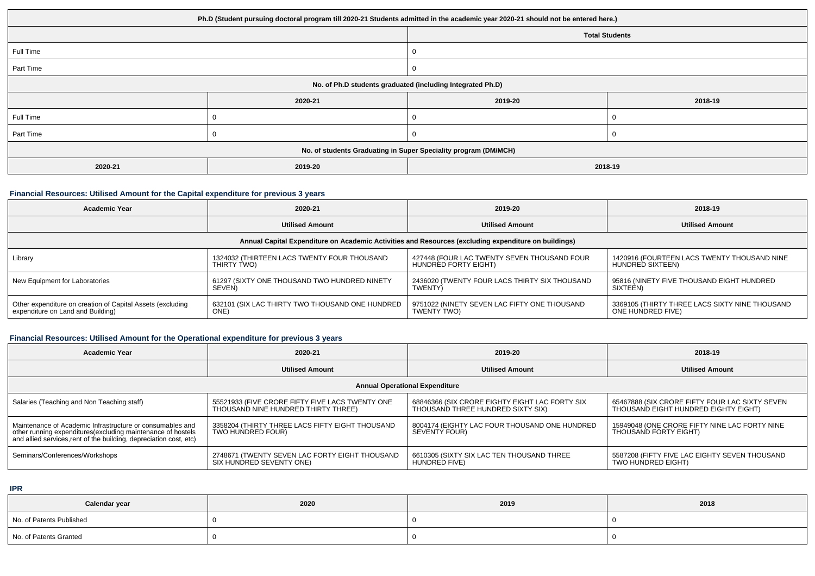| Ph.D (Student pursuing doctoral program till 2020-21 Students admitted in the academic year 2020-21 should not be entered here.) |         |         |         |  |  |  |
|----------------------------------------------------------------------------------------------------------------------------------|---------|---------|---------|--|--|--|
| <b>Total Students</b>                                                                                                            |         |         |         |  |  |  |
| Full Time                                                                                                                        |         |         |         |  |  |  |
| Part Time                                                                                                                        |         | 0       |         |  |  |  |
| No. of Ph.D students graduated (including Integrated Ph.D)                                                                       |         |         |         |  |  |  |
|                                                                                                                                  | 2020-21 | 2019-20 | 2018-19 |  |  |  |
| Full Time                                                                                                                        |         |         |         |  |  |  |
| Part Time                                                                                                                        |         |         |         |  |  |  |
| No. of students Graduating in Super Speciality program (DM/MCH)                                                                  |         |         |         |  |  |  |
| 2020-21                                                                                                                          | 2019-20 | 2018-19 |         |  |  |  |

#### **Financial Resources: Utilised Amount for the Capital expenditure for previous 3 years**

| <b>Academic Year</b>                                                                                 | 2020-21                                         | 2019-20                                       | 2018-19                                        |  |  |  |  |  |
|------------------------------------------------------------------------------------------------------|-------------------------------------------------|-----------------------------------------------|------------------------------------------------|--|--|--|--|--|
|                                                                                                      | <b>Utilised Amount</b>                          | <b>Utilised Amount</b>                        | <b>Utilised Amount</b>                         |  |  |  |  |  |
| Annual Capital Expenditure on Academic Activities and Resources (excluding expenditure on buildings) |                                                 |                                               |                                                |  |  |  |  |  |
| Library                                                                                              | 1324032 (THIRTEEN LACS TWENTY FOUR THOUSAND     | 427448 (FOUR LAC TWENTY SEVEN THOUSAND FOUR   | 1420916 (FOURTEEN LACS TWENTY THOUSAND NINE    |  |  |  |  |  |
|                                                                                                      | THIRTY TWO)                                     | HUNDRED FORTY EIGHT)                          | HUNDRED SIXTEEN)                               |  |  |  |  |  |
| New Equipment for Laboratories                                                                       | 61297 (SIXTY ONE THOUSAND TWO HUNDRED NINETY    | 2436020 (TWENTY FOUR LACS THIRTY SIX THOUSAND | 95816 (NINETY FIVE THOUSAND EIGHT HUNDRED      |  |  |  |  |  |
|                                                                                                      | SEVEN)                                          | TWENTY)                                       | SIXTEEN)                                       |  |  |  |  |  |
| Other expenditure on creation of Capital Assets (excluding<br>expenditure on Land and Building)      | 632101 (SIX LAC THIRTY TWO THOUSAND ONE HUNDRED | 9751022 (NINETY SEVEN LAC FIFTY ONE THOUSAND  | 3369105 (THIRTY THREE LACS SIXTY NINE THOUSAND |  |  |  |  |  |
|                                                                                                      | ONE)                                            | TWENTY TWO)                                   | ONE HUNDRED FIVE)                              |  |  |  |  |  |

# **Financial Resources: Utilised Amount for the Operational expenditure for previous 3 years**

| <b>Academic Year</b>                                                                                                               | 2020-21                                         |                                                | 2018-19                                        |  |  |  |  |  |
|------------------------------------------------------------------------------------------------------------------------------------|-------------------------------------------------|------------------------------------------------|------------------------------------------------|--|--|--|--|--|
|                                                                                                                                    | <b>Utilised Amount</b>                          | <b>Utilised Amount</b>                         | <b>Utilised Amount</b>                         |  |  |  |  |  |
| <b>Annual Operational Expenditure</b>                                                                                              |                                                 |                                                |                                                |  |  |  |  |  |
| Salaries (Teaching and Non Teaching staff)                                                                                         | 55521933 (FIVE CRORE FIFTY FIVE LACS TWENTY ONE | 68846366 (SIX CRORE EIGHTY EIGHT LAC FORTY SIX | 65467888 (SIX CRORE FIFTY FOUR LAC SIXTY SEVEN |  |  |  |  |  |
|                                                                                                                                    | THOUSAND NINE HUNDRED THIRTY THREE)             | THOUSAND THREE HUNDRED SIXTY SIX)              | THOUSAND EIGHT HUNDRED EIGHTY EIGHT)           |  |  |  |  |  |
| Maintenance of Academic Infrastructure or consumables and                                                                          | 3358204 (THIRTY THREE LACS FIFTY EIGHT THOUSAND | 8004174 (EIGHTY LAC FOUR THOUSAND ONE HUNDRED  | 15949048 (ONE CRORE FIFTY NINE LAC FORTY NINE  |  |  |  |  |  |
| other running expenditures (excluding maintenance of hostels<br>and allied services, rent of the building, depreciation cost, etc) | TWO HUNDRED FOUR)                               | SEVENTY FOUR)                                  | THOUSAND FORTY EIGHT)                          |  |  |  |  |  |
| Seminars/Conferences/Workshops                                                                                                     | 2748671 (TWENTY SEVEN LAC FORTY EIGHT THOUSAND  | 6610305 (SIXTY SIX LAC TEN THOUSAND THREE      | 5587208 (FIFTY FIVE LAC EIGHTY SEVEN THOUSAND  |  |  |  |  |  |
|                                                                                                                                    | SIX HUNDRED SEVENTY ONE)                        | HUNDRED FIVE)                                  | TWO HUNDRED EIGHT)                             |  |  |  |  |  |

**IPR**

| Calendar year            | 2020 | 2019 | 2018 |
|--------------------------|------|------|------|
| No. of Patents Published |      |      |      |
| No. of Patents Granted   |      |      |      |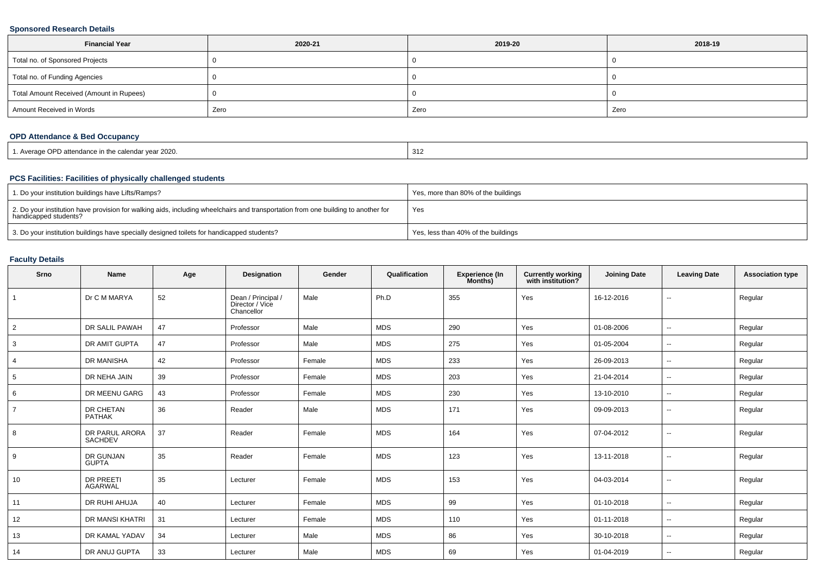#### **Sponsored Research Details**

| <b>Financial Year</b>                    | 2020-21 | 2019-20 | 2018-19 |
|------------------------------------------|---------|---------|---------|
| Total no. of Sponsored Projects          |         |         |         |
| Total no. of Funding Agencies            |         |         |         |
| Total Amount Received (Amount in Rupees) |         |         |         |
| Amount Received in Words                 | Zero    | Zero    | Zero    |

### **OPD Attendance & Bed Occupancy**

| '. Average OPD attendance in the calendar year 2020. | 312 |
|------------------------------------------------------|-----|
|------------------------------------------------------|-----|

#### **PCS Facilities: Facilities of physically challenged students**

| 1. Do your institution buildings have Lifts/Ramps?                                                                                                         | Yes, more than 80% of the buildings |
|------------------------------------------------------------------------------------------------------------------------------------------------------------|-------------------------------------|
| 2. Do your institution have provision for walking aids, including wheelchairs and transportation from one building to another for<br>handicapped students? | Yes                                 |
| 3. Do your institution buildings have specially designed toilets for handicapped students?                                                                 | Yes, less than 40% of the buildings |

### **Faculty Details**

| Srno           | Name                               | Age | Designation                                         | Gender | Qualification | Experience (In<br>Months) | <b>Currently working</b><br>with institution? | <b>Joining Date</b> | <b>Leaving Date</b>      | <b>Association type</b> |
|----------------|------------------------------------|-----|-----------------------------------------------------|--------|---------------|---------------------------|-----------------------------------------------|---------------------|--------------------------|-------------------------|
|                | Dr C M MARYA                       | 52  | Dean / Principal /<br>Director / Vice<br>Chancellor | Male   | Ph.D          | 355                       | Yes                                           | 16-12-2016          | $\sim$                   | Regular                 |
| $\overline{2}$ | DR SALIL PAWAH                     | 47  | Professor                                           | Male   | <b>MDS</b>    | 290                       | Yes                                           | 01-08-2006          | $\sim$                   | Regular                 |
| 3              | DR AMIT GUPTA                      | 47  | Professor                                           | Male   | <b>MDS</b>    | 275                       | Yes                                           | 01-05-2004          | $\sim$                   | Regular                 |
| 4              | <b>DR MANISHA</b>                  | 42  | Professor                                           | Female | <b>MDS</b>    | 233                       | Yes                                           | 26-09-2013          | $\sim$                   | Regular                 |
| 5              | DR NEHA JAIN                       | 39  | Professor                                           | Female | <b>MDS</b>    | 203                       | Yes                                           | 21-04-2014          | $\sim$                   | Regular                 |
| 6              | DR MEENU GARG                      | 43  | Professor                                           | Female | MDS           | 230                       | Yes                                           | 13-10-2010          | $\sim$                   | Regular                 |
| $\overline{7}$ | <b>DR CHETAN</b><br><b>PATHAK</b>  | 36  | Reader                                              | Male   | <b>MDS</b>    | 171                       | Yes                                           | 09-09-2013          | $\sim$                   | Regular                 |
| 8              | DR PARUL ARORA<br><b>SACHDEV</b>   | 37  | Reader                                              | Female | <b>MDS</b>    | 164                       | Yes                                           | 07-04-2012          | --                       | Regular                 |
| 9              | <b>DR GUNJAN</b><br><b>GUPTA</b>   | 35  | Reader                                              | Female | <b>MDS</b>    | 123                       | Yes                                           | 13-11-2018          | $\sim$                   | Regular                 |
| 10             | <b>DR PREETI</b><br><b>AGARWAL</b> | 35  | Lecturer                                            | Female | <b>MDS</b>    | 153                       | Yes                                           | 04-03-2014          | $\sim$                   | Regular                 |
| 11             | DR RUHI AHUJA                      | 40  | Lecturer                                            | Female | <b>MDS</b>    | 99                        | Yes                                           | 01-10-2018          | $\sim$                   | Regular                 |
| 12             | DR MANSI KHATRI                    | 31  | Lecturer                                            | Female | MDS           | 110                       | Yes                                           | 01-11-2018          | $\sim$                   | Regular                 |
| 13             | DR KAMAL YADAV                     | 34  | Lecturer                                            | Male   | <b>MDS</b>    | 86                        | Yes                                           | 30-10-2018          | $\sim$                   | Regular                 |
| 14             | DR ANUJ GUPTA                      | 33  | Lecturer                                            | Male   | <b>MDS</b>    | 69                        | Yes                                           | 01-04-2019          | $\overline{\phantom{a}}$ | Regular                 |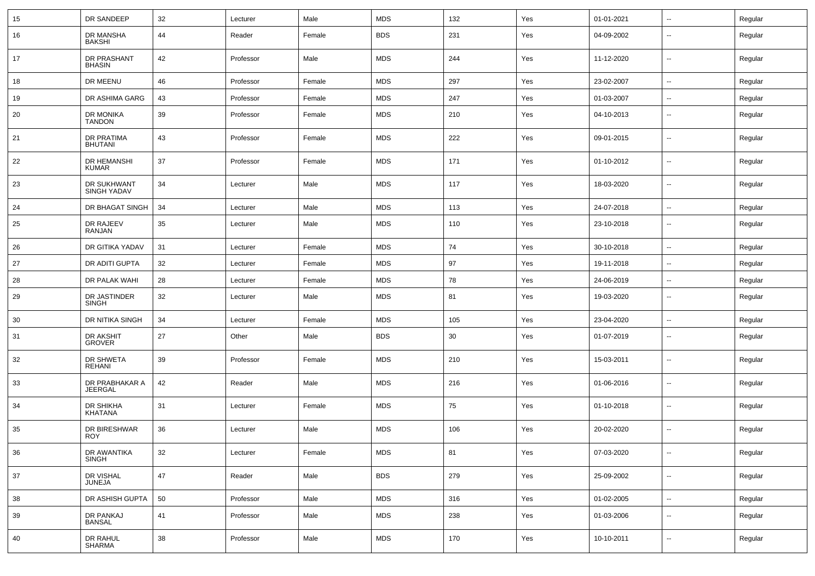| 15 | DR SANDEEP                       | 32 | Lecturer  | Male   | <b>MDS</b> | 132 | Yes | 01-01-2021 | $\overline{\phantom{a}}$ | Regular |
|----|----------------------------------|----|-----------|--------|------------|-----|-----|------------|--------------------------|---------|
| 16 | DR MANSHA<br><b>BAKSHI</b>       | 44 | Reader    | Female | <b>BDS</b> | 231 | Yes | 04-09-2002 | --                       | Regular |
| 17 | DR PRASHANT<br><b>BHASIN</b>     | 42 | Professor | Male   | <b>MDS</b> | 244 | Yes | 11-12-2020 | --                       | Regular |
| 18 | DR MEENU                         | 46 | Professor | Female | <b>MDS</b> | 297 | Yes | 23-02-2007 | --                       | Regular |
| 19 | DR ASHIMA GARG                   | 43 | Professor | Female | <b>MDS</b> | 247 | Yes | 01-03-2007 | $\overline{\phantom{a}}$ | Regular |
| 20 | DR MONIKA<br><b>TANDON</b>       | 39 | Professor | Female | <b>MDS</b> | 210 | Yes | 04-10-2013 | --                       | Regular |
| 21 | DR PRATIMA<br><b>BHUTANI</b>     | 43 | Professor | Female | <b>MDS</b> | 222 | Yes | 09-01-2015 | ۰.                       | Regular |
| 22 | DR HEMANSHI<br><b>KUMAR</b>      | 37 | Professor | Female | <b>MDS</b> | 171 | Yes | 01-10-2012 | --                       | Regular |
| 23 | DR SUKHWANT<br>SINGH YADAV       | 34 | Lecturer  | Male   | <b>MDS</b> | 117 | Yes | 18-03-2020 | ۰.                       | Regular |
| 24 | DR BHAGAT SINGH                  | 34 | Lecturer  | Male   | <b>MDS</b> | 113 | Yes | 24-07-2018 | $\overline{\phantom{a}}$ | Regular |
| 25 | DR RAJEEV<br>RANJAN              | 35 | Lecturer  | Male   | <b>MDS</b> | 110 | Yes | 23-10-2018 | --                       | Regular |
| 26 | DR GITIKA YADAV                  | 31 | Lecturer  | Female | <b>MDS</b> | 74  | Yes | 30-10-2018 | --                       | Regular |
| 27 | DR ADITI GUPTA                   | 32 | Lecturer  | Female | <b>MDS</b> | 97  | Yes | 19-11-2018 | $\sim$                   | Regular |
| 28 | DR PALAK WAHI                    | 28 | Lecturer  | Female | <b>MDS</b> | 78  | Yes | 24-06-2019 | $\sim$                   | Regular |
| 29 | DR JASTINDER<br><b>SINGH</b>     | 32 | Lecturer  | Male   | <b>MDS</b> | 81  | Yes | 19-03-2020 | --                       | Regular |
| 30 | DR NITIKA SINGH                  | 34 | Lecturer  | Female | <b>MDS</b> | 105 | Yes | 23-04-2020 | --                       | Regular |
| 31 | DR AKSHIT<br>GROVER              | 27 | Other     | Male   | <b>BDS</b> | 30  | Yes | 01-07-2019 | $\overline{\phantom{a}}$ | Regular |
| 32 | DR SHWETA<br><b>REHANI</b>       | 39 | Professor | Female | <b>MDS</b> | 210 | Yes | 15-03-2011 | --                       | Regular |
| 33 | DR PRABHAKAR A<br><b>JEERGAL</b> | 42 | Reader    | Male   | <b>MDS</b> | 216 | Yes | 01-06-2016 | $\overline{\phantom{a}}$ | Regular |
| 34 | DR SHIKHA<br>KHATANA             | 31 | Lecturer  | Female | <b>MDS</b> | 75  | Yes | 01-10-2018 | --                       | Regular |
| 35 | DR BIRESHWAR<br><b>ROY</b>       | 36 | Lecturer  | Male   | <b>MDS</b> | 106 | Yes | 20-02-2020 | Ξ.                       | Regular |
| 36 | DR AWANTIKA<br>SINGH             | 32 | Lecturer  | Female | <b>MDS</b> | 81  | Yes | 07-03-2020 | $\overline{\phantom{a}}$ | Regular |
| 37 | DR VISHAL<br>JUNEJA              | 47 | Reader    | Male   | <b>BDS</b> | 279 | Yes | 25-09-2002 | $\overline{\phantom{a}}$ | Regular |
| 38 | DR ASHISH GUPTA                  | 50 | Professor | Male   | <b>MDS</b> | 316 | Yes | 01-02-2005 | $\overline{\phantom{a}}$ | Regular |
| 39 | DR PANKAJ<br><b>BANSAL</b>       | 41 | Professor | Male   | <b>MDS</b> | 238 | Yes | 01-03-2006 | $\sim$                   | Regular |
| 40 | DR RAHUL<br>SHARMA               | 38 | Professor | Male   | <b>MDS</b> | 170 | Yes | 10-10-2011 | $\overline{\phantom{a}}$ | Regular |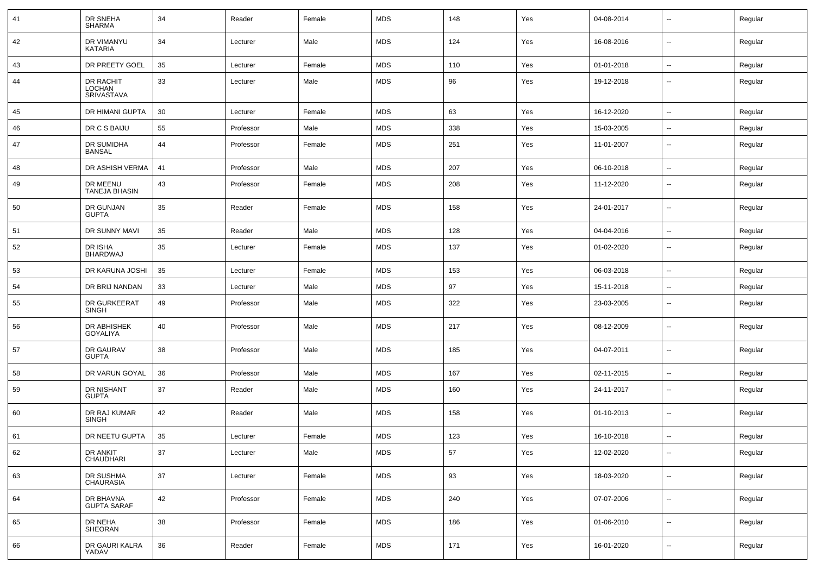| 41 | DR SNEHA<br><b>SHARMA</b>                | 34 | Reader    | Female | <b>MDS</b> | 148 | Yes | 04-08-2014 | $\sim$                   | Regular |
|----|------------------------------------------|----|-----------|--------|------------|-----|-----|------------|--------------------------|---------|
| 42 | DR VIMANYU<br>KATARIA                    | 34 | Lecturer  | Male   | <b>MDS</b> | 124 | Yes | 16-08-2016 | $\sim$                   | Regular |
| 43 | DR PREETY GOEL                           | 35 | Lecturer  | Female | <b>MDS</b> | 110 | Yes | 01-01-2018 | $\sim$                   | Regular |
| 44 | DR RACHIT<br><b>LOCHAN</b><br>SRIVASTAVA | 33 | Lecturer  | Male   | <b>MDS</b> | 96  | Yes | 19-12-2018 | --                       | Regular |
| 45 | DR HIMANI GUPTA                          | 30 | Lecturer  | Female | <b>MDS</b> | 63  | Yes | 16-12-2020 | $\sim$                   | Regular |
| 46 | DR C S BAIJU                             | 55 | Professor | Male   | <b>MDS</b> | 338 | Yes | 15-03-2005 | $\overline{\phantom{a}}$ | Regular |
| 47 | DR SUMIDHA<br><b>BANSAL</b>              | 44 | Professor | Female | <b>MDS</b> | 251 | Yes | 11-01-2007 | $\overline{\phantom{a}}$ | Regular |
| 48 | DR ASHISH VERMA                          | 41 | Professor | Male   | <b>MDS</b> | 207 | Yes | 06-10-2018 | $\mathbf{u}$             | Regular |
| 49 | DR MEENU<br>TANEJA BHASIN                | 43 | Professor | Female | <b>MDS</b> | 208 | Yes | 11-12-2020 | $\overline{\phantom{a}}$ | Regular |
| 50 | DR GUNJAN<br><b>GUPTA</b>                | 35 | Reader    | Female | <b>MDS</b> | 158 | Yes | 24-01-2017 | $\overline{\phantom{a}}$ | Regular |
| 51 | DR SUNNY MAVI                            | 35 | Reader    | Male   | <b>MDS</b> | 128 | Yes | 04-04-2016 | $\overline{\phantom{a}}$ | Regular |
| 52 | DR ISHA<br><b>BHARDWAJ</b>               | 35 | Lecturer  | Female | <b>MDS</b> | 137 | Yes | 01-02-2020 | --                       | Regular |
| 53 | DR KARUNA JOSHI                          | 35 | Lecturer  | Female | <b>MDS</b> | 153 | Yes | 06-03-2018 | $\mathbf{u}$             | Regular |
| 54 | DR BRIJ NANDAN                           | 33 | Lecturer  | Male   | <b>MDS</b> | 97  | Yes | 15-11-2018 | $\mathbf{u}$             | Regular |
| 55 | DR GURKEERAT<br><b>SINGH</b>             | 49 | Professor | Male   | <b>MDS</b> | 322 | Yes | 23-03-2005 | $\sim$                   | Regular |
| 56 | DR ABHISHEK<br><b>GOYALIYA</b>           | 40 | Professor | Male   | <b>MDS</b> | 217 | Yes | 08-12-2009 | $\overline{\phantom{a}}$ | Regular |
| 57 | DR GAURAV<br><b>GUPTA</b>                | 38 | Professor | Male   | <b>MDS</b> | 185 | Yes | 04-07-2011 | $\sim$                   | Regular |
| 58 | DR VARUN GOYAL                           | 36 | Professor | Male   | <b>MDS</b> | 167 | Yes | 02-11-2015 | $\sim$                   | Regular |
| 59 | <b>DR NISHANT</b><br><b>GUPTA</b>        | 37 | Reader    | Male   | <b>MDS</b> | 160 | Yes | 24-11-2017 | $\overline{\phantom{a}}$ | Regular |
| 60 | DR RAJ KUMAR<br><b>SINGH</b>             | 42 | Reader    | Male   | <b>MDS</b> | 158 | Yes | 01-10-2013 | $\overline{\phantom{a}}$ | Regular |
| 61 | DR NEETU GUPTA                           | 35 | Lecturer  | Female | <b>MDS</b> | 123 | Yes | 16-10-2018 |                          | Regular |
| 62 | DR ANKIT<br>CHAUDHARI                    | 37 | Lecturer  | Male   | <b>MDS</b> | 57  | Yes | 12-02-2020 | $\sim$                   | Regular |
| 63 | DR SUSHMA<br><b>CHAURASIA</b>            | 37 | Lecturer  | Female | <b>MDS</b> | 93  | Yes | 18-03-2020 | $\sim$                   | Regular |
| 64 | DR BHAVNA<br><b>GUPTA SARAF</b>          | 42 | Professor | Female | <b>MDS</b> | 240 | Yes | 07-07-2006 | $\sim$                   | Regular |
| 65 | DR NEHA<br>SHEORAN                       | 38 | Professor | Female | <b>MDS</b> | 186 | Yes | 01-06-2010 | $\sim$                   | Regular |
| 66 | DR GAURI KALRA<br>YADAV                  | 36 | Reader    | Female | MDS        | 171 | Yes | 16-01-2020 | $\sim$                   | Regular |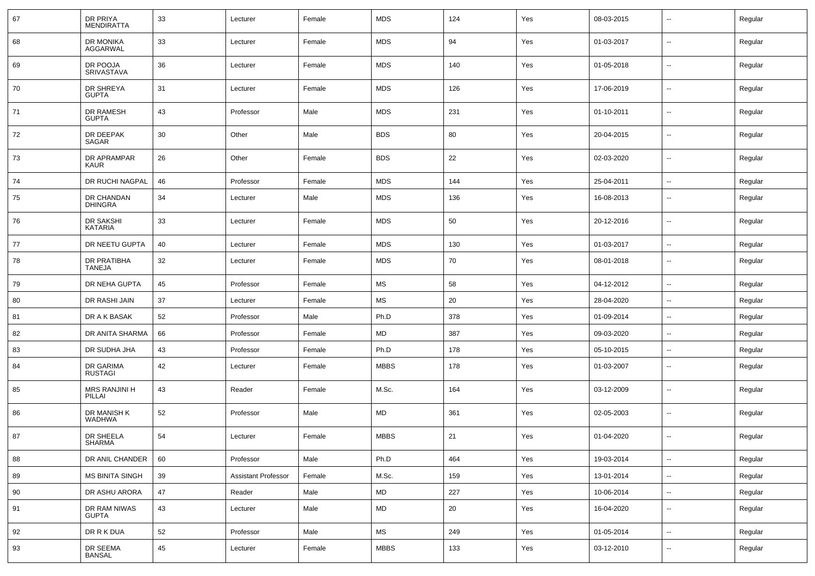| 67 | DR PRIYA<br><b>MENDIRATTA</b>  | 33 | Lecturer                   | Female | <b>MDS</b>  | 124 | Yes | 08-03-2015 | --                       | Regular |
|----|--------------------------------|----|----------------------------|--------|-------------|-----|-----|------------|--------------------------|---------|
| 68 | DR MONIKA<br><b>AGGARWAL</b>   | 33 | Lecturer                   | Female | <b>MDS</b>  | 94  | Yes | 01-03-2017 | $\sim$                   | Regular |
| 69 | DR POOJA<br><b>SRIVASTAVA</b>  | 36 | Lecturer                   | Female | <b>MDS</b>  | 140 | Yes | 01-05-2018 | $\overline{\phantom{a}}$ | Regular |
| 70 | DR SHREYA<br><b>GUPTA</b>      | 31 | Lecturer                   | Female | <b>MDS</b>  | 126 | Yes | 17-06-2019 | $\sim$                   | Regular |
| 71 | DR RAMESH<br><b>GUPTA</b>      | 43 | Professor                  | Male   | <b>MDS</b>  | 231 | Yes | 01-10-2011 | $\overline{\phantom{a}}$ | Regular |
| 72 | DR DEEPAK<br>SAGAR             | 30 | Other                      | Male   | <b>BDS</b>  | 80  | Yes | 20-04-2015 | $\sim$                   | Regular |
| 73 | DR APRAMPAR<br><b>KAUR</b>     | 26 | Other                      | Female | <b>BDS</b>  | 22  | Yes | 02-03-2020 | $\overline{\phantom{a}}$ | Regular |
| 74 | DR RUCHI NAGPAL                | 46 | Professor                  | Female | <b>MDS</b>  | 144 | Yes | 25-04-2011 | $\sim$                   | Regular |
| 75 | DR CHANDAN<br><b>DHINGRA</b>   | 34 | Lecturer                   | Male   | <b>MDS</b>  | 136 | Yes | 16-08-2013 | --                       | Regular |
| 76 | DR SAKSHI<br><b>KATARIA</b>    | 33 | Lecturer                   | Female | <b>MDS</b>  | 50  | Yes | 20-12-2016 | --                       | Regular |
| 77 | DR NEETU GUPTA                 | 40 | Lecturer                   | Female | <b>MDS</b>  | 130 | Yes | 01-03-2017 | --                       | Regular |
| 78 | DR PRATIBHA<br><b>TANEJA</b>   | 32 | Lecturer                   | Female | <b>MDS</b>  | 70  | Yes | 08-01-2018 | $\overline{\phantom{a}}$ | Regular |
| 79 | DR NEHA GUPTA                  | 45 | Professor                  | Female | <b>MS</b>   | 58  | Yes | 04-12-2012 | $\sim$                   | Regular |
| 80 | DR RASHI JAIN                  | 37 | Lecturer                   | Female | MS          | 20  | Yes | 28-04-2020 | $\overline{\phantom{a}}$ | Regular |
| 81 | DR A K BASAK                   | 52 | Professor                  | Male   | Ph.D        | 378 | Yes | 01-09-2014 | $\overline{\phantom{a}}$ | Regular |
| 82 | DR ANITA SHARMA                | 66 | Professor                  | Female | MD          | 387 | Yes | 09-03-2020 | $\sim$                   | Regular |
| 83 | DR SUDHA JHA                   | 43 | Professor                  | Female | Ph.D        | 178 | Yes | 05-10-2015 | $\sim$                   | Regular |
| 84 | DR GARIMA<br><b>RUSTAGI</b>    | 42 | Lecturer                   | Female | <b>MBBS</b> | 178 | Yes | 01-03-2007 | --                       | Regular |
| 85 | <b>MRS RANJINI H</b><br>PILLAI | 43 | Reader                     | Female | M.Sc.       | 164 | Yes | 03-12-2009 | --                       | Regular |
| 86 | DR MANISH K<br><b>WADHWA</b>   | 52 | Professor                  | Male   | MD          | 361 | Yes | 02-05-2003 | --                       | Regular |
| 87 | DR SHEELA<br><b>SHARMA</b>     | 54 | Lecturer                   | Female | <b>MBBS</b> | 21  | Yes | 01-04-2020 | --                       | Regular |
| 88 | DR ANIL CHANDER                | 60 | Professor                  | Male   | Ph.D        | 464 | Yes | 19-03-2014 | u.                       | Regular |
| 89 | <b>MS BINITA SINGH</b>         | 39 | <b>Assistant Professor</b> | Female | M.Sc.       | 159 | Yes | 13-01-2014 | $\sim$                   | Regular |
| 90 | DR ASHU ARORA                  | 47 | Reader                     | Male   | MD          | 227 | Yes | 10-06-2014 | $\overline{\phantom{a}}$ | Regular |
| 91 | DR RAM NIWAS<br><b>GUPTA</b>   | 43 | Lecturer                   | Male   | MD          | 20  | Yes | 16-04-2020 | --                       | Regular |
| 92 | DR R K DUA                     | 52 | Professor                  | Male   | MS          | 249 | Yes | 01-05-2014 | $\overline{\phantom{a}}$ | Regular |
| 93 | DR SEEMA<br><b>BANSAL</b>      | 45 | Lecturer                   | Female | <b>MBBS</b> | 133 | Yes | 03-12-2010 | $\overline{\phantom{a}}$ | Regular |